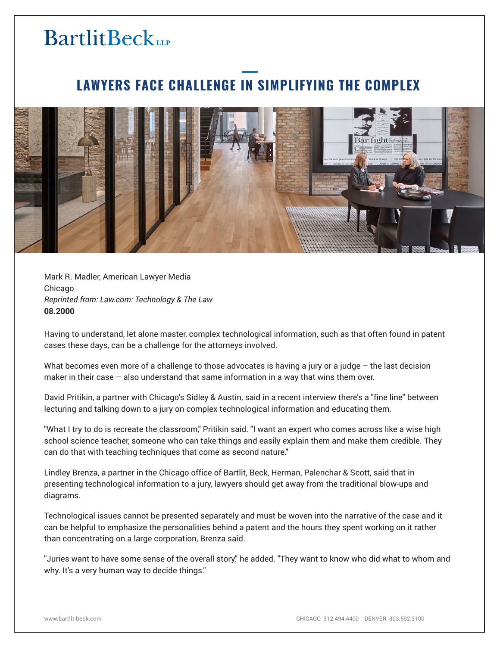## **BartlitBeck**

## **LAWYERS FACE CHALLENGE IN SIMPLIFYING THE COMPLEX**



Mark R. Madler, American Lawyer Media Chicago *Reprinted from: Law.com: Technology & The Law* **08.2000**

Having to understand, let alone master, complex technological information, such as that often found in patent cases these days, can be a challenge for the attorneys involved.

What becomes even more of a challenge to those advocates is having a jury or a judge – the last decision maker in their case – also understand that same information in a way that wins them over.

David Pritikin, a partner with Chicago's Sidley & Austin, said in a recent interview there's a "fine line" between lecturing and talking down to a jury on complex technological information and educating them.

"What I try to do is recreate the classroom," Pritikin said. "I want an expert who comes across like a wise high school science teacher, someone who can take things and easily explain them and make them credible. They can do that with teaching techniques that come as second nature."

Lindley Brenza, a partner in the Chicago office of Bartlit, Beck, Herman, Palenchar & Scott, said that in presenting technological information to a jury, lawyers should get away from the traditional blow-ups and diagrams.

Technological issues cannot be presented separately and must be woven into the narrative of the case and it can be helpful to emphasize the personalities behind a patent and the hours they spent working on it rather than concentrating on a large corporation, Brenza said.

"Juries want to have some sense of the overall story," he added. "They want to know who did what to whom and why. It's a very human way to decide things."